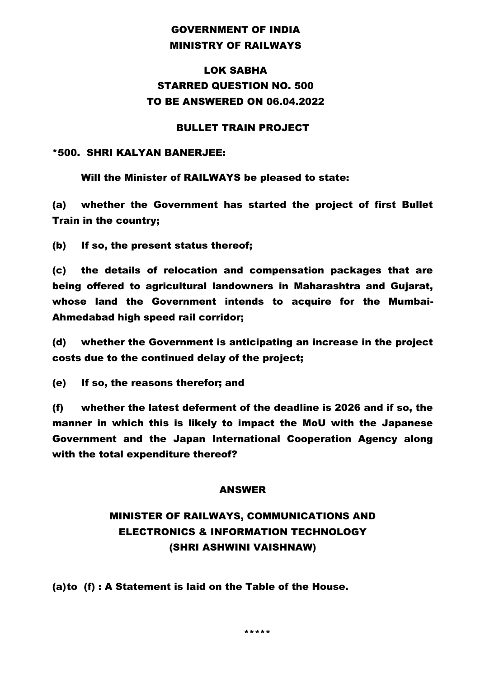### GOVERNMENT OF INDIA MINISTRY OF RAILWAYS

### LOK SABHA STARRED QUESTION NO. 500 TO BE ANSWERED ON 06.04.2022

#### BULLET TRAIN PROJECT

#### \*500. SHRI KALYAN BANERJEE:

Will the Minister of RAILWAYS be pleased to state:

(a) whether the Government has started the project of first Bullet Train in the country;

(b) If so, the present status thereof;

(c) the details of relocation and compensation packages that are being offered to agricultural landowners in Maharashtra and Gujarat, whose land the Government intends to acquire for the Mumbai-Ahmedabad high speed rail corridor;

(d) whether the Government is anticipating an increase in the project costs due to the continued delay of the project;

(e) If so, the reasons therefor; and

(f) whether the latest deferment of the deadline is 2026 and if so, the manner in which this is likely to impact the MoU with the Japanese Government and the Japan International Cooperation Agency along with the total expenditure thereof?

#### ANSWER

## MINISTER OF RAILWAYS, COMMUNICATIONS AND ELECTRONICS & INFORMATION TECHNOLOGY (SHRI ASHWINI VAISHNAW)

(a)to (f) : A Statement is laid on the Table of the House.

\*\*\*\*\*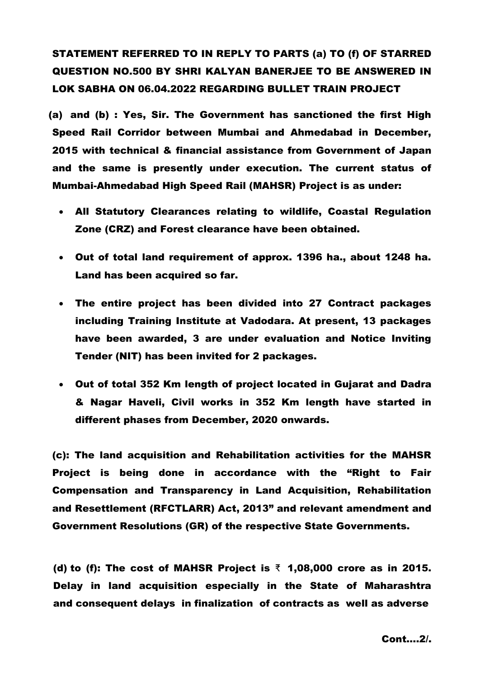# STATEMENT REFERRED TO IN REPLY TO PARTS (a) TO (f) OF STARRED QUESTION NO.500 BY SHRI KALYAN BANERJEE TO BE ANSWERED IN LOK SABHA ON 06.04.2022 REGARDING BULLET TRAIN PROJECT

(a) and (b) : Yes, Sir. The Government has sanctioned the first High Speed Rail Corridor between Mumbai and Ahmedabad in December, 2015 with technical & financial assistance from Government of Japan and the same is presently under execution. The current status of Mumbai-Ahmedabad High Speed Rail (MAHSR) Project is as under:

- All Statutory Clearances relating to wildlife, Coastal Regulation Zone (CRZ) and Forest clearance have been obtained.
- Out of total land requirement of approx. 1396 ha., about 1248 ha. Land has been acquired so far.
- The entire project has been divided into 27 Contract packages including Training Institute at Vadodara. At present, 13 packages have been awarded, 3 are under evaluation and Notice Inviting Tender (NIT) has been invited for 2 packages.
- Out of total 352 Km length of project located in Gujarat and Dadra & Nagar Haveli, Civil works in 352 Km length have started in different phases from December, 2020 onwards.

(c): The land acquisition and Rehabilitation activities for the MAHSR Project is being done in accordance with the "Right to Fair Compensation and Transparency in Land Acquisition, Rehabilitation and Resettlement (RFCTLARR) Act, 2013" and relevant amendment and Government Resolutions (GR) of the respective State Governments.

(d) to (f): The cost of MAHSR Project is  $\bar{\tau}$  1,08,000 crore as in 2015. Delay in land acquisition especially in the State of Maharashtra and consequent delays in finalization of contracts as well as adverse